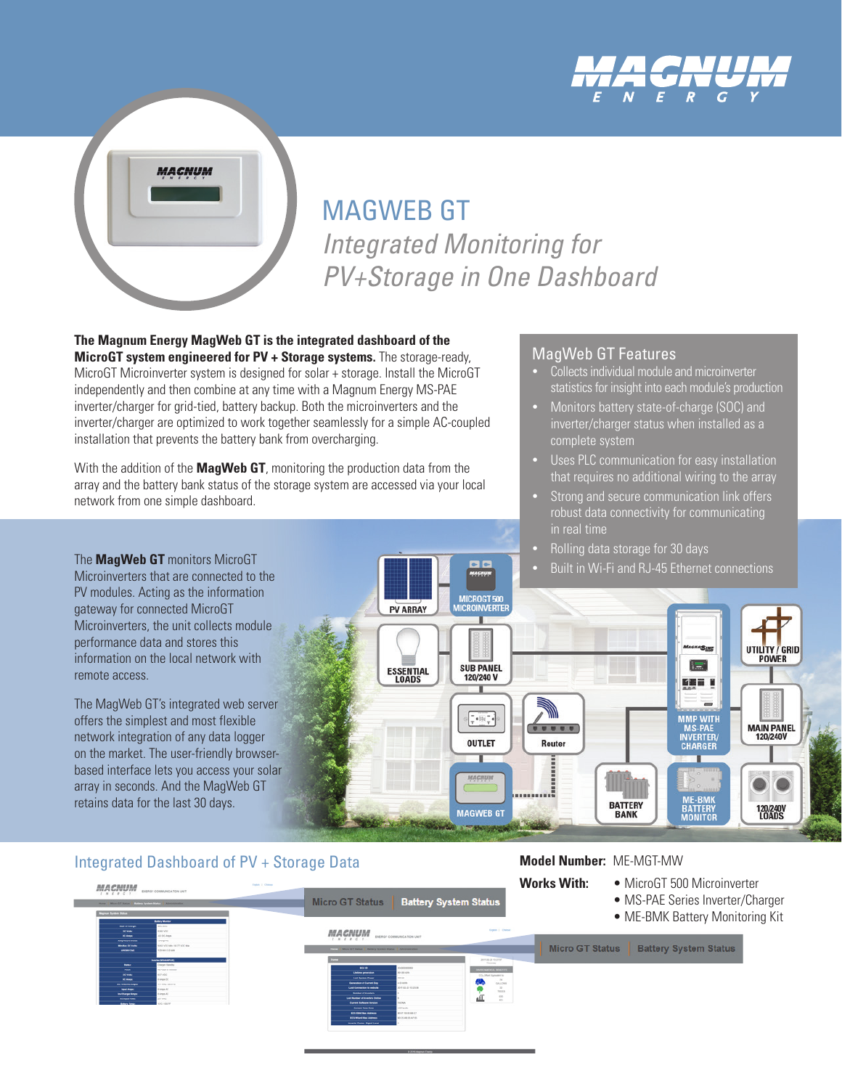



# MAGWEB GT *Integrated Monitoring for PV+Storage in One Dashboard*

**The Magnum Energy MagWeb GT is the integrated dashboard of the MicroGT system engineered for PV + Storage systems.** The storage-ready, MicroGT Microinverter system is designed for solar + storage. Install the MicroGT independently and then combine at any time with a Magnum Energy MS-PAE inverter/charger for grid-tied, battery backup. Both the microinverters and the inverter/charger are optimized to work together seamlessly for a simple AC-coupled installation that prevents the battery bank from overcharging.

With the addition of the **MagWeb GT**, monitoring the production data from the array and the battery bank status of the storage system are accessed via your local network from one simple dashboard.

The **MagWeb GT** monitors MicroGT Microinverters that are connected to the PV modules. Acting as the information gateway for connected MicroGT Microinverters, the unit collects module performance data and stores this information on the local network with remote access.

The MagWeb GT's integrated web server offers the simplest and most flexible network integration of any data logger on the market. The user-friendly browserbased interface lets you access your solar array in seconds. And the MagWeb GT retains data for the last 30 days.

#### Integrated Dashboard of PV + Storage Data

- MagWeb GT Features
- Collects individual module and microinverter statistics for insight into each module's production
- Monitors battery state-of-charge (SOC) and inverter/charger status when installed as a complete system
- Uses PLC communication for easy installation that requires no additional wiring to the array
- Strong and secure communication link offers robust data connectivity for communicating in real time
- Rolling data storage for 30 days
- Built in Wi-Fi and RJ-45 Ethernet connections



**Model Number:** ME-MGT-MW

#### **Works With:** • MicroGT 500 Microinverter MACNUM Micro GT Status **Battery System Status** • MS-PAE Series Inverter/Charger • ME-BMK Battery Monitoring Kit **MACNUM** Micro GT Status **Battery System Status**